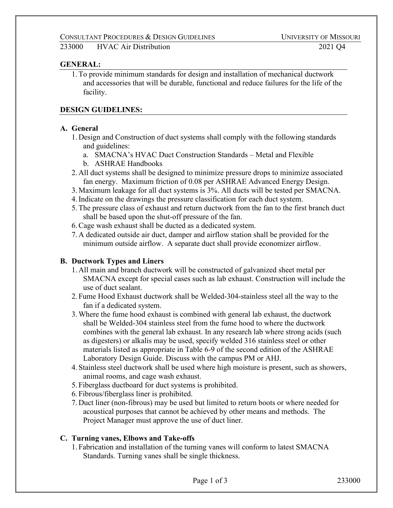233000 HVAC Air Distribution 2021 Q4

### **GENERAL:**

1.To provide minimum standards for design and installation of mechanical ductwork and accessories that will be durable, functional and reduce failures for the life of the facility.

## **DESIGN GUIDELINES:**

## **A. General**

- 1. Design and Construction of duct systems shall comply with the following standards and guidelines:
	- a. SMACNA's HVAC Duct Construction Standards Metal and Flexible
	- b. ASHRAE Handbooks
- 2. All duct systems shall be designed to minimize pressure drops to minimize associated fan energy. Maximum friction of 0.08 per ASHRAE Advanced Energy Design.
- 3. Maximum leakage for all duct systems is 3%. All ducts will be tested per SMACNA.
- 4.Indicate on the drawings the pressure classification for each duct system.
- 5.The pressure class of exhaust and return ductwork from the fan to the first branch duct shall be based upon the shut-off pressure of the fan.
- 6.Cage wash exhaust shall be ducted as a dedicated system.
- 7. A dedicated outside air duct, damper and airflow station shall be provided for the minimum outside airflow. A separate duct shall provide economizer airflow.

## **B. Ductwork Types and Liners**

- 1. All main and branch ductwork will be constructed of galvanized sheet metal per SMACNA except for special cases such as lab exhaust. Construction will include the use of duct sealant.
- 2. Fume Hood Exhaust ductwork shall be Welded-304-stainless steel all the way to the fan if a dedicated system.
- 3.Where the fume hood exhaust is combined with general lab exhaust, the ductwork shall be Welded-304 stainless steel from the fume hood to where the ductwork combines with the general lab exhaust. In any research lab where strong acids (such as digesters) or alkalis may be used, specify welded 316 stainless steel or other materials listed as appropriate in Table 6-9 of the second edition of the ASHRAE Laboratory Design Guide. Discuss with the campus PM or AHJ.
- 4. Stainless steel ductwork shall be used where high moisture is present, such as showers, animal rooms, and cage wash exhaust.
- 5. Fiberglass ductboard for duct systems is prohibited.
- 6. Fibrous/fiberglass liner is prohibited.
- 7. Duct liner (non-fibrous) may be used but limited to return boots or where needed for acoustical purposes that cannot be achieved by other means and methods. The Project Manager must approve the use of duct liner.

#### **C. Turning vanes, Elbows and Take-offs**

1. Fabrication and installation of the turning vanes will conform to latest SMACNA Standards. Turning vanes shall be single thickness.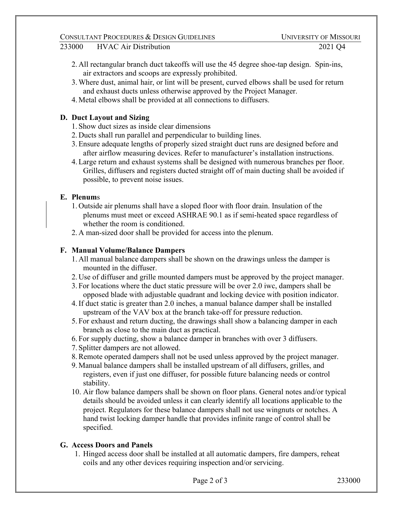- 2. All rectangular branch duct takeoffs will use the 45 degree shoe-tap design. Spin-ins, air extractors and scoops are expressly prohibited.
- 3.Where dust, animal hair, or lint will be present, curved elbows shall be used for return and exhaust ducts unless otherwise approved by the Project Manager.
- 4. Metal elbows shall be provided at all connections to diffusers.

# **D. Duct Layout and Sizing**

- 1. Show duct sizes as inside clear dimensions
- 2. Ducts shall run parallel and perpendicular to building lines.
- 3.Ensure adequate lengths of properly sized straight duct runs are designed before and after airflow measuring devices. Refer to manufacturer's installation instructions.
- 4.Large return and exhaust systems shall be designed with numerous branches per floor. Grilles, diffusers and registers ducted straight off of main ducting shall be avoided if possible, to prevent noise issues.

# **E. Plenum**s

- 1. Outside air plenums shall have a sloped floor with floor drain. Insulation of the plenums must meet or exceed ASHRAE 90.1 as if semi-heated space regardless of whether the room is conditioned.
- 2. A man-sized door shall be provided for access into the plenum.

# **F. Manual Volume/Balance Dampers**

- 1. All manual balance dampers shall be shown on the drawings unless the damper is mounted in the diffuser.
- 2. Use of diffuser and grille mounted dampers must be approved by the project manager.
- 3. For locations where the duct static pressure will be over 2.0 iwc, dampers shall be opposed blade with adjustable quadrant and locking device with position indicator.
- 4.If duct static is greater than 2.0 inches, a manual balance damper shall be installed upstream of the VAV box at the branch take-off for pressure reduction.
- 5. For exhaust and return ducting, the drawings shall show a balancing damper in each branch as close to the main duct as practical.
- 6. For supply ducting, show a balance damper in branches with over 3 diffusers.
- 7. Splitter dampers are not allowed.
- 8.Remote operated dampers shall not be used unless approved by the project manager.
- 9. Manual balance dampers shall be installed upstream of all diffusers, grilles, and registers, even if just one diffuser, for possible future balancing needs or control stability.
- 10. Air flow balance dampers shall be shown on floor plans. General notes and/or typical details should be avoided unless it can clearly identify all locations applicable to the project. Regulators for these balance dampers shall not use wingnuts or notches. A hand twist locking damper handle that provides infinite range of control shall be specified.

## **G. Access Doors and Panels**

1. Hinged access door shall be installed at all automatic dampers, fire dampers, reheat coils and any other devices requiring inspection and/or servicing.